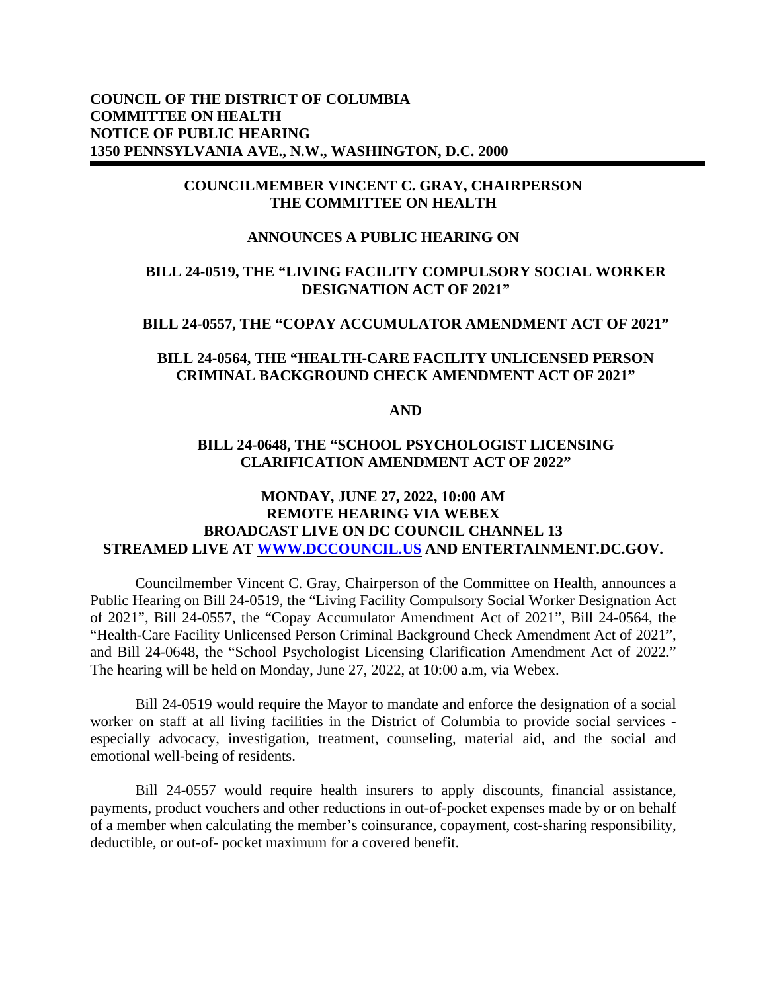# **COUNCIL OF THE DISTRICT OF COLUMBIA COMMITTEE ON HEALTH NOTICE OF PUBLIC HEARING 1350 PENNSYLVANIA AVE., N.W., WASHINGTON, D.C. 2000**

## **COUNCILMEMBER VINCENT C. GRAY, CHAIRPERSON THE COMMITTEE ON HEALTH**

# **ANNOUNCES A PUBLIC HEARING ON**

## **BILL 24-0519, THE "LIVING FACILITY COMPULSORY SOCIAL WORKER DESIGNATION ACT OF 2021"**

#### **BILL 24-0557, THE "COPAY ACCUMULATOR AMENDMENT ACT OF 2021"**

# **BILL 24-0564, THE "HEALTH-CARE FACILITY UNLICENSED PERSON CRIMINAL BACKGROUND CHECK AMENDMENT ACT OF 2021"**

**AND**

### **BILL 24-0648, THE "SCHOOL PSYCHOLOGIST LICENSING CLARIFICATION AMENDMENT ACT OF 2022"**

# **MONDAY, JUNE 27, 2022, 10:00 AM REMOTE HEARING VIA WEBEX BROADCAST LIVE ON DC COUNCIL CHANNEL 13 STREAMED LIVE AT [WWW.DCCOUNCIL.US](http://www.dccouncil.us/) AND ENTERTAINMENT.DC.GOV.**

Councilmember Vincent C. Gray, Chairperson of the Committee on Health, announces a Public Hearing on Bill 24-0519, the "Living Facility Compulsory Social Worker Designation Act of 2021", Bill 24-0557, the "Copay Accumulator Amendment Act of 2021", Bill 24-0564, the "Health-Care Facility Unlicensed Person Criminal Background Check Amendment Act of 2021", and Bill 24-0648, the "School Psychologist Licensing Clarification Amendment Act of 2022." The hearing will be held on Monday, June 27, 2022, at 10:00 a.m, via Webex.

Bill 24-0519 would require the Mayor to mandate and enforce the designation of a social worker on staff at all living facilities in the District of Columbia to provide social services especially advocacy, investigation, treatment, counseling, material aid, and the social and emotional well-being of residents.

Bill 24-0557 would require health insurers to apply discounts, financial assistance, payments, product vouchers and other reductions in out-of-pocket expenses made by or on behalf of a member when calculating the member's coinsurance, copayment, cost-sharing responsibility, deductible, or out-of- pocket maximum for a covered benefit.